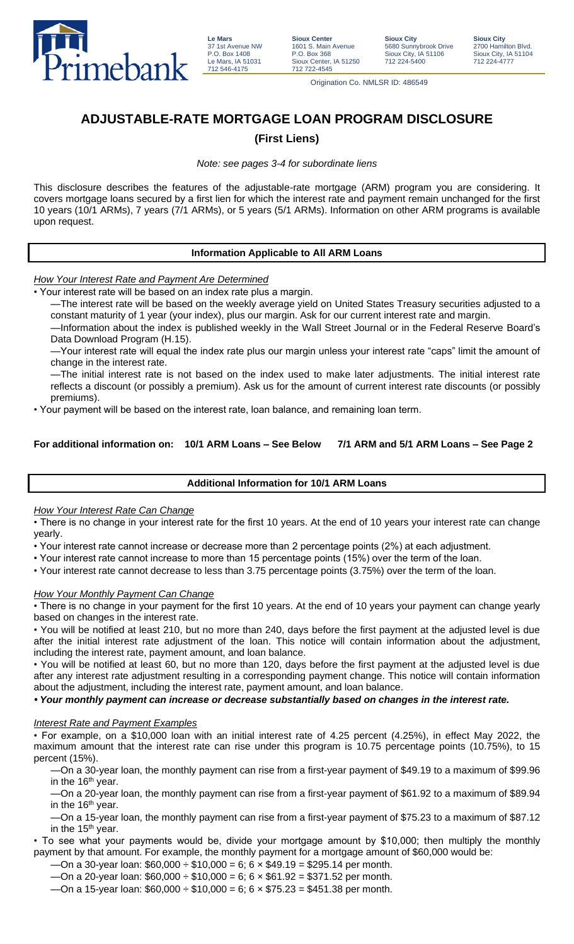

**Le Mars** 37 1st Avenue NW P.O. Box 1408 Le Mars, IA 51031 712 546-4175

**Sioux Center** 1601 S. Main Avenue P.O. Box 368 Sioux Center, IA 51250 712 722-4545

**Sioux City** 5680 Sunnybrook Drive Sioux City, IA 51106 712 224-5400

Origination Co. NMLSR ID: 486549

# **ADJUSTABLE-RATE MORTGAGE LOAN PROGRAM DISCLOSURE**

## **(First Liens)**

*Note: see pages 3-4 for subordinate liens*

This disclosure describes the features of the adjustable-rate mortgage (ARM) program you are considering. It covers mortgage loans secured by a first lien for which the interest rate and payment remain unchanged for the first 10 years (10/1 ARMs), 7 years (7/1 ARMs), or 5 years (5/1 ARMs). Information on other ARM programs is available upon request.

### **Information Applicable to All ARM Loans**

*How Your Interest Rate and Payment Are Determined*

• Your interest rate will be based on an index rate plus a margin.

—The interest rate will be based on the weekly average yield on United States Treasury securities adjusted to a constant maturity of 1 year (your index), plus our margin. Ask for our current interest rate and margin.

—Information about the index is published weekly in the Wall Street Journal or in the Federal Reserve Board's Data Download Program (H.15).

—Your interest rate will equal the index rate plus our margin unless your interest rate "caps" limit the amount of change in the interest rate.

—The initial interest rate is not based on the index used to make later adjustments. The initial interest rate reflects a discount (or possibly a premium). Ask us for the amount of current interest rate discounts (or possibly premiums).

• Your payment will be based on the interest rate, loan balance, and remaining loan term.

## **For additional information on: 10/1 ARM Loans – See Below 7/1 ARM and 5/1 ARM Loans – See Page 2**

## **Additional Information for 10/1 ARM Loans**

## *How Your Interest Rate Can Change*

• There is no change in your interest rate for the first 10 years. At the end of 10 years your interest rate can change yearly.

- Your interest rate cannot increase or decrease more than 2 percentage points (2%) at each adjustment.
- Your interest rate cannot increase to more than 15 percentage points (15%) over the term of the loan.
- Your interest rate cannot decrease to less than 3.75 percentage points (3.75%) over the term of the loan.

## *How Your Monthly Payment Can Change*

• There is no change in your payment for the first 10 years. At the end of 10 years your payment can change yearly based on changes in the interest rate.

• You will be notified at least 210, but no more than 240, days before the first payment at the adjusted level is due after the initial interest rate adjustment of the loan. This notice will contain information about the adjustment, including the interest rate, payment amount, and loan balance.

• You will be notified at least 60, but no more than 120, days before the first payment at the adjusted level is due after any interest rate adjustment resulting in a corresponding payment change. This notice will contain information about the adjustment, including the interest rate, payment amount, and loan balance.

## *• Your monthly payment can increase or decrease substantially based on changes in the interest rate.*

### *Interest Rate and Payment Examples*

• For example, on a \$10,000 loan with an initial interest rate of 4.25 percent (4.25%), in effect May 2022, the maximum amount that the interest rate can rise under this program is 10.75 percentage points (10.75%), to 15 percent (15%).

—On a 30-year loan, the monthly payment can rise from a first-year payment of \$49.19 to a maximum of \$99.96 in the 16<sup>th</sup> year.

—On a 20-year loan, the monthly payment can rise from a first-year payment of \$61.92 to a maximum of \$89.94 in the 16<sup>th</sup> year.

—On a 15-year loan, the monthly payment can rise from a first-year payment of \$75.23 to a maximum of \$87.12 in the 15<sup>th</sup> year.

• To see what your payments would be, divide your mortgage amount by \$10,000; then multiply the monthly payment by that amount. For example, the monthly payment for a mortgage amount of \$60,000 would be:

-On a 30-year loan: \$60,000  $\div$  \$10,000 = 6; 6  $\times$  \$49.19 = \$295.14 per month.

—On a 20-year loan: \$60,000 ÷ \$10,000 = 6; 6 × \$61.92 = \$371.52 per month.

—On a 15-year loan:  $$60,000 \div $10,000 = 6$ ; 6  $\times $75.23 = $451.38$  per month.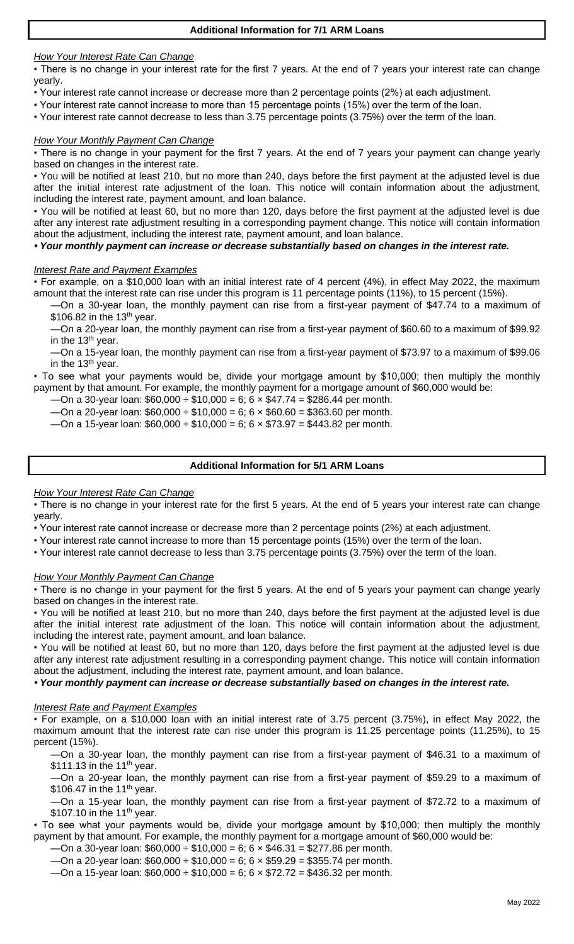*How Your Interest Rate Can Change*

• There is no change in your interest rate for the first 7 years. At the end of 7 years your interest rate can change yearly.

- Your interest rate cannot increase or decrease more than 2 percentage points (2%) at each adjustment.
- Your interest rate cannot increase to more than 15 percentage points (15%) over the term of the loan.
- Your interest rate cannot decrease to less than 3.75 percentage points (3.75%) over the term of the loan.

### *How Your Monthly Payment Can Change*

• There is no change in your payment for the first 7 years. At the end of 7 years your payment can change yearly based on changes in the interest rate.

• You will be notified at least 210, but no more than 240, days before the first payment at the adjusted level is due after the initial interest rate adjustment of the loan. This notice will contain information about the adjustment, including the interest rate, payment amount, and loan balance.

• You will be notified at least 60, but no more than 120, days before the first payment at the adjusted level is due after any interest rate adjustment resulting in a corresponding payment change. This notice will contain information about the adjustment, including the interest rate, payment amount, and loan balance.

### *• Your monthly payment can increase or decrease substantially based on changes in the interest rate.*

### *Interest Rate and Payment Examples*

• For example, on a \$10,000 loan with an initial interest rate of 4 percent (4%), in effect May 2022, the maximum amount that the interest rate can rise under this program is 11 percentage points (11%), to 15 percent (15%).

—On a 30-year loan, the monthly payment can rise from a first-year payment of \$47.74 to a maximum of \$106.82 in the 13<sup>th</sup> year.

—On a 20-year loan, the monthly payment can rise from a first-year payment of \$60.60 to a maximum of \$99.92 in the 13<sup>th</sup> year.

—On a 15-year loan, the monthly payment can rise from a first-year payment of \$73.97 to a maximum of \$99.06 in the 13<sup>th</sup> year.

• To see what your payments would be, divide your mortgage amount by \$10,000; then multiply the monthly payment by that amount. For example, the monthly payment for a mortgage amount of \$60,000 would be:

-On a 30-year loan:  $$60,000 \div $10,000 = 6$ ; 6 x \$47.74 = \$286.44 per month.

—On a 20-year loan:  $$60,000 \div $10,000 = 6$ ; 6  $\times $60.60 = $363.60$  per month.

—On a 15-year loan: \$60,000 ÷ \$10,000 = 6; 6 × \$73.97 = \$443.82 per month.

### **Additional Information for 5/1 ARM Loans**

### *How Your Interest Rate Can Change*

• There is no change in your interest rate for the first 5 years. At the end of 5 years your interest rate can change yearly.

• Your interest rate cannot increase or decrease more than 2 percentage points (2%) at each adjustment.

• Your interest rate cannot increase to more than 15 percentage points (15%) over the term of the loan.

• Your interest rate cannot decrease to less than 3.75 percentage points (3.75%) over the term of the loan.

### *How Your Monthly Payment Can Change*

• There is no change in your payment for the first 5 years. At the end of 5 years your payment can change yearly based on changes in the interest rate.

• You will be notified at least 210, but no more than 240, days before the first payment at the adjusted level is due after the initial interest rate adjustment of the loan. This notice will contain information about the adjustment, including the interest rate, payment amount, and loan balance.

• You will be notified at least 60, but no more than 120, days before the first payment at the adjusted level is due after any interest rate adjustment resulting in a corresponding payment change. This notice will contain information about the adjustment, including the interest rate, payment amount, and loan balance.

*• Your monthly payment can increase or decrease substantially based on changes in the interest rate.*

### *Interest Rate and Payment Examples*

• For example, on a \$10,000 loan with an initial interest rate of 3.75 percent (3.75%), in effect May 2022, the maximum amount that the interest rate can rise under this program is 11.25 percentage points (11.25%), to 15 percent (15%).

—On a 30-year loan, the monthly payment can rise from a first-year payment of \$46.31 to a maximum of \$111.13 in the 11<sup>th</sup> year.

—On a 20-year loan, the monthly payment can rise from a first-year payment of \$59.29 to a maximum of \$106.47 in the 11<sup>th</sup> year.

—On a 15-year loan, the monthly payment can rise from a first-year payment of \$72.72 to a maximum of  $$107.10$  in the 11<sup>th</sup> year.

• To see what your payments would be, divide your mortgage amount by \$10,000; then multiply the monthly payment by that amount. For example, the monthly payment for a mortgage amount of \$60,000 would be:

-On a 30-year loan:  $$60,000 \div $10,000 = 6$ ; 6  $\times $46.31 = $277.86$  per month.

—On a 20-year loan: \$60,000 ÷ \$10,000 = 6; 6 × \$59.29 = \$355.74 per month.

—On a 15-year loan:  $$60,000 \div $10,000 = 6$ ; 6  $\times $72.72 = $436.32$  per month.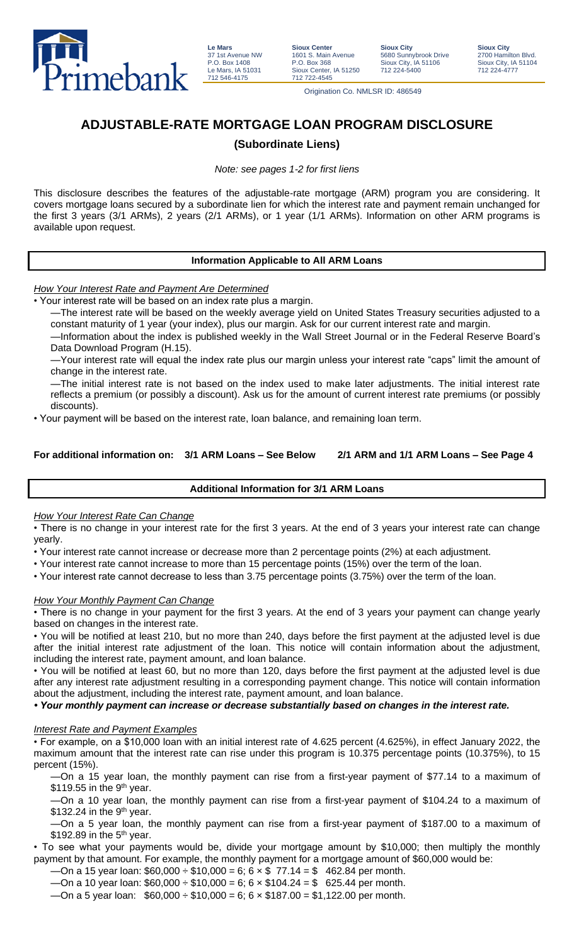

**Le Mars** 37 1st Avenue NW P.O. Box 1408 Le Mars, IA 51031 712 546-4175

**Sioux Center** 1601 S. Main Avenue P.O. Box 368 Sioux Center, IA 51250 712 722-4545

**Sioux City** 5680 Sunnybrook Drive Sioux City, IA 51106 712 224-5400

**Sioux City** 2700 Hamilton Blvd. Sioux City, IA 51104 712 224-4777

Origination Co. NMLSR ID: 486549

# **ADJUSTABLE-RATE MORTGAGE LOAN PROGRAM DISCLOSURE**

## **(Subordinate Liens)**

*Note: see pages 1-2 for first liens*

This disclosure describes the features of the adjustable-rate mortgage (ARM) program you are considering. It covers mortgage loans secured by a subordinate lien for which the interest rate and payment remain unchanged for the first 3 years (3/1 ARMs), 2 years (2/1 ARMs), or 1 year (1/1 ARMs). Information on other ARM programs is available upon request.

## **Information Applicable to All ARM Loans**

*How Your Interest Rate and Payment Are Determined*

• Your interest rate will be based on an index rate plus a margin.

—The interest rate will be based on the weekly average yield on United States Treasury securities adjusted to a constant maturity of 1 year (your index), plus our margin. Ask for our current interest rate and margin.

—Information about the index is published weekly in the Wall Street Journal or in the Federal Reserve Board's Data Download Program (H.15).

—Your interest rate will equal the index rate plus our margin unless your interest rate "caps" limit the amount of change in the interest rate.

—The initial interest rate is not based on the index used to make later adjustments. The initial interest rate reflects a premium (or possibly a discount). Ask us for the amount of current interest rate premiums (or possibly discounts).

• Your payment will be based on the interest rate, loan balance, and remaining loan term.

## **For additional information on: 3/1 ARM Loans – See Below 2/1 ARM and 1/1 ARM Loans – See Page 4**

## **Additional Information for 3/1 ARM Loans**

## *How Your Interest Rate Can Change*

• There is no change in your interest rate for the first 3 years. At the end of 3 years your interest rate can change yearly.

• Your interest rate cannot increase or decrease more than 2 percentage points (2%) at each adjustment.

• Your interest rate cannot increase to more than 15 percentage points (15%) over the term of the loan.

• Your interest rate cannot decrease to less than 3.75 percentage points (3.75%) over the term of the loan.

## *How Your Monthly Payment Can Change*

• There is no change in your payment for the first 3 years. At the end of 3 years your payment can change yearly based on changes in the interest rate.

• You will be notified at least 210, but no more than 240, days before the first payment at the adjusted level is due after the initial interest rate adjustment of the loan. This notice will contain information about the adjustment, including the interest rate, payment amount, and loan balance.

• You will be notified at least 60, but no more than 120, days before the first payment at the adjusted level is due after any interest rate adjustment resulting in a corresponding payment change. This notice will contain information about the adjustment, including the interest rate, payment amount, and loan balance.

*• Your monthly payment can increase or decrease substantially based on changes in the interest rate.*

## *Interest Rate and Payment Examples*

• For example, on a \$10,000 loan with an initial interest rate of 4.625 percent (4.625%), in effect January 2022, the maximum amount that the interest rate can rise under this program is 10.375 percentage points (10.375%), to 15 percent (15%).

—On a 15 year loan, the monthly payment can rise from a first-year payment of \$77.14 to a maximum of \$119.55 in the  $9<sup>th</sup>$  year.

—On a 10 year loan, the monthly payment can rise from a first-year payment of \$104.24 to a maximum of  $$132.24$  in the 9<sup>th</sup> year.

—On a 5 year loan, the monthly payment can rise from a first-year payment of \$187.00 to a maximum of  $$192.89$  in the  $5<sup>th</sup>$  year.

• To see what your payments would be, divide your mortgage amount by \$10,000; then multiply the monthly payment by that amount. For example, the monthly payment for a mortgage amount of \$60,000 would be:

 $-$ On a 15 year loan: \$60,000  $\div$  \$10,000 = 6; 6  $\times$  \$ 77.14 = \$ 462.84 per month.

—On a 10 year loan:  $$60,000 \div $10,000 = 6$ ; 6  $\times $104.24 = $625.44$  per month.

—On a 5 year loan:  $$60,000 \div $10,000 = 6$ ; 6  $\times $187.00 = $1,122.00$  per month.